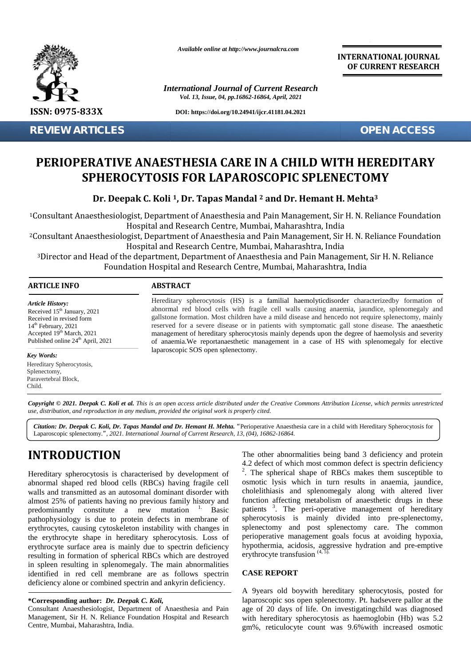

**REVIEW ARTICLES OPEN ACCESS**

*Available online at http://www.journalcra.com*

*International Journal of Current Research Vol. 13, Issue, 04, pp.16862-16864, April, 2021*

**DOI: https://doi.org/10.24941/ijcr.41181.04.2021**

**INTERNATIONAL JOURNAL OF CURRENT RESEARCH**

# **PERIOPERATIVE ANAESTHESIA CARE IN A CHILD WITH HEREDITARY WITH SPHEROCYTOSIS FOR LAPAROSCOPIC SPLENECTOMY SPLENECTOMYREVIEW ARTICLES<br>
PERIOPERATIVE ANAES<br>
SPHEROCYTOSI:**<br>
Dr. Deepak C. Koli<br>
<sup>1</sup>Consultant Anaesthesiologist, Departn<br>
<sup>2</sup>Consultant Anaesthesiologist, Departn<br>
<sup>2</sup>Consultant Anaesthesiologist, Departn<br>
<sup>1</sup>Consultant Anaesth

 $\mathbf{D}\mathbf{r}.$  Deepak C. Koli <sup>1</sup>, Dr. Tapas Mandal <sup>2</sup> and Dr. Hemant H. Mehta<sup>3</sup>

<sup>1</sup>Consultant Anaesthesiologist, Department of Anaesthesia and Pain Management, Sir H. N. Reliance Foundation Hospital and Research Centre, Mumbai, Maharashtra, India

<sup>2</sup>Consultant Anaesthesiologist, Department of Anaesthesia and Pain Management, Sir H. N. Reliance Foundation Hospital and Research Centre, Mumbai, Maharashtra, India

<sup>3</sup>Director and Head of the department, Department of Anaesthesia and Pain Management, Sir H. N. Reliance Foundation Hospital and Research Centre, Mumbai, Maharashtra, India esiologist, Department of Anaesthesia and Pain Management, Sir H. N. Reliance<br>Hospital and Research Centre, Mumbai, Maharashtra, India<br>esiologist, Department of Anaesthesia and Pain Management, Sir H. N. Reliance<br>Hospital

#### **ARTICLE INFO ABSTRACT ARTICLE ABSTRACT**

*Article History: ArticleHistory:*Received  $15<sup>th</sup>$  January, 2021 Received in revised form Received in revised form  $14<sup>th</sup>$  February, 2021 Accepted  $19<sup>th</sup>$  March, 2021  $\qquad \qquad \text{or}$ Published online  $24<sup>th</sup>$  April, 2021 For the matter of states and the Received in revised form<br>  $14^{\text{th}}$  February, 2021<br>
Accepted  $19^{\text{th}}$  March, 2021<br>
Published online  $24^{\text{th}}$  App<br> **Key Words:**<br>
Hereditary Spherocytosis.

#### *Key Words:*

Hereditary Spherocytosis, Splenectomy, Paravertebral Block, Child.

Hereditary spherocytosis (HS) is a familial haemolyticdisorder characterizedby formation of Hereditary spherocytosis (HS) is a familial haemolyticdisorder characterizedby formation of abnormal red blood cells with fragile cell walls causing anaemia, jaundice, splenomegaly and gallstone formation. Most children have a mild disease and hencedo not require splenectomy, mainly reserved for a severe disease or in patients with symptomatic gall stone disease. The anaesthetic management of hereditary spherocytosis mainly depends upon the degree of haemolysis and severity of anaemia.We reportanaesthetic management in a case of HS with splenomegaly for elective laparoscopic SOS open splenectomy. gallstone formation. Most children have a mild disease and hencedo not require splenect reserved for a severe disease or in patients with symptomatic gall stone disease. The management of hereditary spherocytosis mainly de **PERIOPERATIVE ANAESTHESIA CARE IN A CHILD WIT:**<br> **CONSULTATION:**<br> **CONSULTATION:**<br> **Dr. Deepak C. Koli 4, Dr. Tapas Mandal <sup>2</sup> and Dr. Hemant H.**<br>
Consultant Anaesthesiologist, Department of Anaesthesia and Pain Managemen

Copyright © 2021. Deepak C. Koli et al. This is an open access article distributed under the Creative Commons Attribution License, which permits unrestricted use, distribution, and reproduction in any medium, provided the original work is properly cited.

*Citation: Dr. Deepak C. Koli, Dr. Tapas Mandal and Dr. Hemant H. Mehta. "*Perioperative Anaesthesia care in a child with Hereditary Spherocytosis for Laparoscopic splenectomy.*", 2021. International Journal of Current Research, 13, (04), 16862-16864.*

# **INTRODUCTION INTRODUCTION**

Hereditary spherocytosis is characterised by development of Hereditary spherocytosis is characterised by development of abnormal shaped red blood cells (RBCs) having fragile cell walls and transmitted as an autosomal dominant disorder with almost 25% of patients having no previous family history and walls and transmitted as an autosomal dominant disorder with<br>almost 25% of patients having no previous family history and<br>predominantly constitute a new mutation <sup>1</sup>. Basic patie<br>pathophysiology is due to protein defects i pathophysiology is due to protein defects in membrane of erythrocytes, causing cytoskeleton instability with changes in the erythrocyte shape in hereditary spherocytosis. Loss of erythrocyte surface area is mainly due to spectrin deficiency resulting in formation of spherical RBCs which are destroyed in spleen resulting in splenomegaly. The main abnormalities identified in red cell membrane are as follows spectrin deficiency alone or combined spectrin and ankyrin deficiency. pathophysiology is due to protein defects in membrane of<br>erythrocytes, causing cytoskeleton instability with changes in<br>the erythrocyte shape in hereditary spherocytosis. Loss of<br>erythrocyte surface area is mainly due to s **INTRODUCTION**<br>
The other ahormomidities being band 3 deficiency<br>
Hereditary spherocytosis is characterised by development of<br>  $^2$ . The spherical shape of RBCs makes them susceptible to<br>
abhormal shaped red blood cells (

#### **\*Corresponding author:** *Dr. Deepak C. Koli,* **\*Corresponding**

Consultant Anaesthesiologist, Department of Anaesthesia and Pain Management, Sir H. N. Reliance Foundation Hospital and Research Centre, Mumbai, Maharashtra, India.

The other abnormalities being band 3 deficiency and protein 4.2 defect of which most common defect is spectrin deficiency <sup>2</sup>. The spherical shape of RBCs makes them susceptible to osmotic lysis which in turn results in anaemia, jaundice, cholelithiasis and splenomegaly along with altered liver function affecting metabolism of anaesthetic drugs in these patients <sup>3</sup>. The peri-operative management of hereditary spherocytosis is mainly divided into pre-splenectomy, splenectomy and post splenectomy care. The common perioperative management goals focus at avoiding hypoxia, hypothermia, acidosis, aggressive hydration and pre-emptive erythrocyte transfusion  $(4, 5)$ . open at life. The controll blood collis with fractic but with the controllation at life. The present and the search of require sphences of a severe discussion in particulac particulac galitometric particulac particulac pa

#### **CASE REPORT**

A 9years old boywith hereditary spherocytosis, posted for laparoscopic sos open splenectomy. Pt. hadsevere pallor at the age of 20 days of life. On investigatingchild was diagnosed with hereditary spherocytosis as haemoglobin (Hb) was 5.2 gm%, reticulocyte count was 9.6%with increased osmotic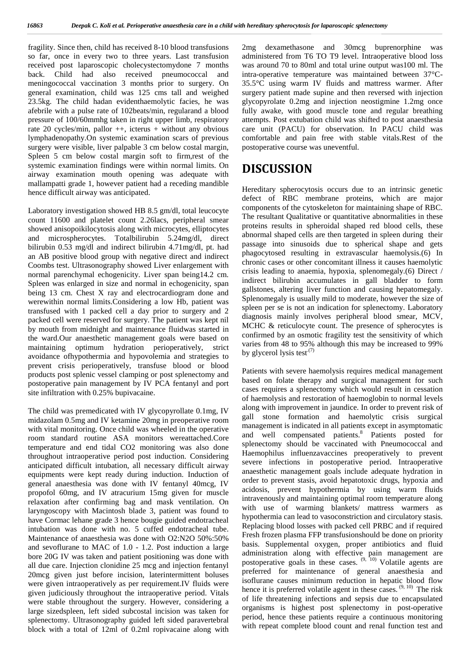fragility. Since then, child has received 8-10 blood transfusions so far, once in every two to three years. Last transfusion received post laparoscopic cholecystectomydone 7 months back. Child had also received pneumococcal and meningococcal vaccination 3 months prior to surgery. On general examination, child was 125 cms tall and weighed 23.5kg. The child hadan evidenthaemolytic facies, he was afebrile with a pulse rate of 102beats/min, regularand a blood pressure of 100/60mmhg taken in right upper limb, respiratory rate 20 cycles/min, pallor ++, icterus + without any obvious lymphadenopathy.On systemic examination scars of previous surgery were visible, liver palpable 3 cm below costal margin, Spleen 5 cm below costal margin soft to firm,rest of the systemic examination findings were within normal limits. On airway examination mouth opening was adequate with mallampatti grade 1, however patient had a receding mandible hence difficult airway was anticipated.

Laboratory investigation showed HB 8.5 gm/dl, total leucocyte count 11600 and platelet count 2.26lacs, peripheral smear showed anisopoikilocytosis along with microcytes, elliptocytes and microspherocytes. Totalbilirubin 5.24mg/dl, direct bilirubin 0.53 mg/dl and indirect bilirubin 4.71mg/dl, pt. had an AB positive blood group with negative direct and indirect Coombs test. Ultrasonography showed Liver enlargement with normal parenchymal echogenicity. Liver span being14.2 cm. Spleen was enlarged in size and normal in echogenicity, span being 13 cm. Chest X ray and electrocardiogram done and werewithin normal limits.Considering a low Hb, patient was transfused with 1 packed cell a day prior to surgery and 2 packed cell were reserved for surgery. The patient was kept nil by mouth from midnight and maintenance fluidwas started in the ward.Our anaesthetic management goals were based on maintaining optimum hydration perioperatively, strict avoidance ofhypothermia and hypovolemia and strategies to prevent crisis perioperatively, transfuse blood or blood products post splenic vessel clamping or post splenectomy and postoperative pain management by IV PCA fentanyl and port site infiltration with 0.25% bupivacaine.

The child was premedicated with IV glycopyrollate 0.1mg, IV midazolam 0.5mg and IV ketamine 20mg in preoperative room with vital monitoring. Once child was wheeled in the operative room standard routine ASA monitors wereattached.Core temperature and end tidal CO2 monitoring was also done throughout intraoperative period post induction. Considering anticipated difficult intubation, all necessary difficult airway equipments were kept ready during induction. Induction of general anaesthesia was done with IV fentanyl 40mcg, IV propofol 60mg, and IV atracurium 15mg given for muscle relaxation after confirming bag and mask ventilation. On laryngoscopy with Macintosh blade 3, patient was found to have Cormac lehane grade 3 hence bougie guided endotracheal intubation was done with no. 5 cuffed endotracheal tube. Maintenance of anaesthesia was done with O2:N2O 50%:50% and sevoflurane to MAC of 1.0 - 1.2. Post induction a large bore 20G IV was taken and patient positioning was done with all due care. Injection clonidine 25 mcg and injection fentanyl 20mcg given just before incision, laterintermittent boluses were given intraoperatively as per requirement.IV fluids were given judiciously throughout the intraoperative period. Vitals were stable throughout the surgery. However, considering a large sizedspleen, left sided subcostal incision was taken for splenectomy. Ultrasonography guided left sided paravertebral block with a total of 12ml of 0.2ml ropivacaine along with 2mg dexamethasone and 30mcg buprenorphine was administered from T6 TO T9 level. Intraoperative blood loss was around 70 to 80ml and total urine output was100 ml. The intra-operative temperature was maintained between 37°C- 35.5°C using warm IV fluids and mattress warmer. After surgery patient made supine and then reversed with injection glycopyrolate 0.2mg and injection neostigmine 1.2mg once fully awake, with good muscle tone and regular breathing attempts. Post extubation child was shifted to post anaesthesia care unit (PACU) for observation. In PACU child was comfortable and pain free with stable vitals.Rest of the postoperative course was uneventful.

## **DISCUSSION**

Hereditary spherocytosis occurs due to an intrinsic genetic defect of RBC membrane proteins, which are major components of the cytoskeleton for maintaining shape of RBC. The resultant Qualitative or quantitative abnormalities in these proteins results in spheroidal shaped red blood cells, these abnormal shaped cells are then targeted in spleen during their passage into sinusoids due to spherical shape and gets phagocytosed resulting in extravascular haemolysis.(6) In chronic cases or other concomitant illness it causes haemolytic crisis leading to anaemia, hypoxia, splenomegaly.(6) Direct / indirect bilirubin accumulates in gall bladder to form gallstones, altering liver function and causing hepatomegaly. Splenomegaly is usually mild to moderate, however the size of spleen per se is not an indication for splenectomy. Laboratory diagnosis mainly involves peripheral blood smear, MCV, MCHC & reticulocyte count. The presence of spherocytes is confirmed by an osmotic fragility test the sensitivity of which varies from 48 to 95% although this may be increased to 99% by glycerol lysis test<sup> $(7)$ </sup>

Patients with severe haemolysis requires medical management based on folate therapy and surgical management for such cases requires a splenectomy which would result in cessation of haemolysis and restoration of haemoglobin to normal levels along with improvement in jaundice. In order to prevent risk of gall stone formation and haemolytic crisis surgical management is indicated in all patients except in asymptomatic and well compensated patients.<sup>8</sup> Patients posted for splenectomy should be vaccinated with Pneumococcal and Haemophilus influenzavaccines preoperatively to prevent severe infections in postoperative period. Intraoperative anaesthetic management goals include adequate hydration in order to prevent stasis, avoid hepatotoxic drugs, hypoxia and acidosis, prevent hypothermia by using warm fluids intravenously and maintaining optimal room temperature along with use of warming blankets/ mattress warmers as hypothermia can lead to vasoconstriction and circulatory stasis. Replacing blood losses with packed cell PRBC and if required Fresh frozen plasma FFP transfusionshould be done on priority basis. Supplemental oxygen, proper antibiotics and fluid administration along with effective pain management are postoperative goals in these cases.  $(9, 10)$  Volatile agents are preferred for maintenance of general anaesthesia and isoflurane causes minimum reduction in hepatic blood flow hence it is preferred volatile agent in these cases.  $(9, 10)$  The risk of life threatening infections and sepsis due to encapsulated organisms is highest post splenectomy in post-operative period, hence these patients require a continuous monitoring with repeat complete blood count and renal function test and